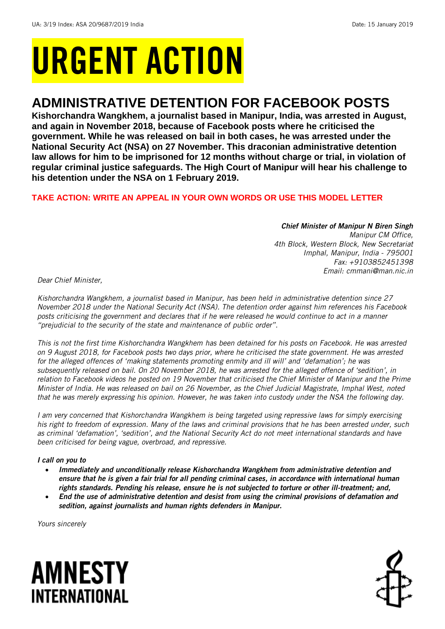# URGENT ACTION

## **ADMINISTRATIVE DETENTION FOR FACEBOOK POSTS**

**Kishorchandra Wangkhem, a journalist based in Manipur, India, was arrested in August, and again in November 2018, because of Facebook posts where he criticised the government. While he was released on bail in both cases, he was arrested under the National Security Act (NSA) on 27 November. This draconian administrative detention law allows for him to be imprisoned for 12 months without charge or trial, in violation of regular criminal justice safeguards. The High Court of Manipur will hear his challenge to his detention under the NSA on 1 February 2019.**

## **TAKE ACTION: WRITE AN APPEAL IN YOUR OWN WORDS OR USE THIS MODEL LETTER**

*Chief Minister of Manipur N Biren Singh Manipur CM Office, 4th Block, Western Block, New Secretariat Imphal, Manipur, India - 795001 Fax: +9103852451398 Email: cmmani@man.nic.in*

*Dear Chief Minister,* 

*Kishorchandra Wangkhem, a journalist based in Manipur, has been held in administrative detention since 27 November 2018 under the National Security Act (NSA). The detention order against him references his Facebook posts criticising the government and declares that if he were released he would continue to act in a manner "prejudicial to the security of the state and maintenance of public order".* 

*This is not the first time Kishorchandra Wangkhem has been detained for his posts on Facebook. He was arrested on 9 August 2018, for Facebook posts two days prior, where he criticised the state government. He was arrested for the alleged offences of 'making statements promoting enmity and ill will' and 'defamation'; he was subsequently released on bail. On 20 November 2018, he was arrested for the alleged offence of 'sedition', in relation to Facebook videos he posted on 19 November that criticised the Chief Minister of Manipur and the Prime Minister of India. He was released on bail on 26 November, as the Chief Judicial Magistrate, Imphal West, noted that he was merely expressing his opinion. However, he was taken into custody under the NSA the following day.* 

*I am very concerned that Kishorchandra Wangkhem is being targeted using repressive laws for simply exercising his right to freedom of expression. Many of the laws and criminal provisions that he has been arrested under, such as criminal 'defamation', 'sedition', and the National Security Act do not meet international standards and have been criticised for being vague, overbroad, and repressive.* 

## *I call on you to*

- *Immediately and unconditionally release Kishorchandra Wangkhem from administrative detention and ensure that he is given a fair trial for all pending criminal cases, in accordance with international human rights standards. Pending his release, ensure he is not subjected to torture or other ill-treatment; and,*
- *End the use of administrative detention and desist from using the criminal provisions of defamation and sedition, against journalists and human rights defenders in Manipur.*

*Yours sincerely*